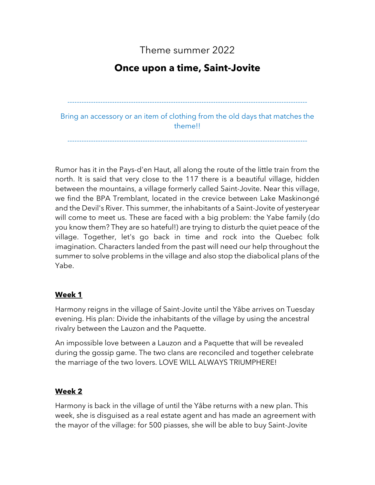Theme summer 2022

# **Once upon a time, Saint-Jovite**

------------------------------------------------------------------------------------------------------

Bring an accessory or an item of clothing from the old days that matches the theme!!

------------------------------------------------------------------------------------------------------

Rumor has it in the Pays-d'en Haut, all along the route of the little train from the north. It is said that very close to the 117 there is a beautiful village, hidden between the mountains, a village formerly called Saint-Jovite. Near this village, we find the BPA Tremblant, located in the crevice between Lake Maskinongé and the Devil's River. This summer, the inhabitants of a Saint-Jovite of yesteryear will come to meet us. These are faced with a big problem: the Yabe family (do you know them? They are so hateful!) are trying to disturb the quiet peace of the village. Together, let's go back in time and rock into the Quebec folk imagination. Characters landed from the past will need our help throughout the summer to solve problems in the village and also stop the diabolical plans of the Yabe.

## **Week 1**

Harmony reigns in the village of Saint-Jovite until the Yâbe arrives on Tuesday evening. His plan: Divide the inhabitants of the village by using the ancestral rivalry between the Lauzon and the Paquette.

An impossible love between a Lauzon and a Paquette that will be revealed during the gossip game. The two clans are reconciled and together celebrate the marriage of the two lovers. LOVE WILL ALWAYS TRIUMPHERE!

## **Week 2**

Harmony is back in the village of until the Yâbe returns with a new plan. This week, she is disguised as a real estate agent and has made an agreement with the mayor of the village: for 500 piasses, she will be able to buy Saint-Jovite